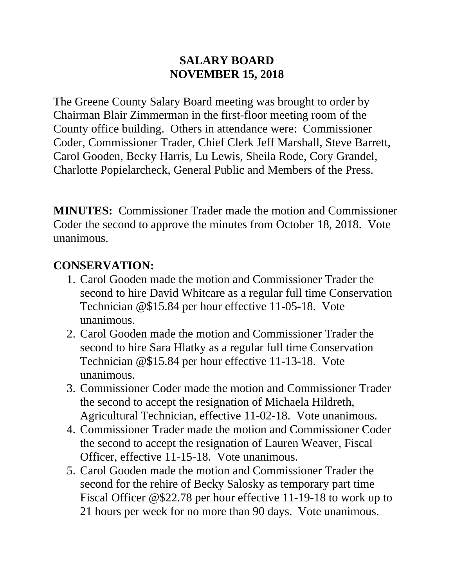#### **SALARY BOARD NOVEMBER 15, 2018**

The Greene County Salary Board meeting was brought to order by Chairman Blair Zimmerman in the first-floor meeting room of the County office building. Others in attendance were: Commissioner Coder, Commissioner Trader, Chief Clerk Jeff Marshall, Steve Barrett, Carol Gooden, Becky Harris, Lu Lewis, Sheila Rode, Cory Grandel, Charlotte Popielarcheck, General Public and Members of the Press.

**MINUTES:** Commissioner Trader made the motion and Commissioner Coder the second to approve the minutes from October 18, 2018. Vote unanimous.

### **CONSERVATION:**

- 1. Carol Gooden made the motion and Commissioner Trader the second to hire David Whitcare as a regular full time Conservation Technician @\$15.84 per hour effective 11-05-18. Vote unanimous.
- 2. Carol Gooden made the motion and Commissioner Trader the second to hire Sara Hlatky as a regular full time Conservation Technician @\$15.84 per hour effective 11-13-18. Vote unanimous.
- 3. Commissioner Coder made the motion and Commissioner Trader the second to accept the resignation of Michaela Hildreth, Agricultural Technician, effective 11-02-18. Vote unanimous.
- 4. Commissioner Trader made the motion and Commissioner Coder the second to accept the resignation of Lauren Weaver, Fiscal Officer, effective 11-15-18. Vote unanimous.
- 5. Carol Gooden made the motion and Commissioner Trader the second for the rehire of Becky Salosky as temporary part time Fiscal Officer @\$22.78 per hour effective 11-19-18 to work up to 21 hours per week for no more than 90 days. Vote unanimous.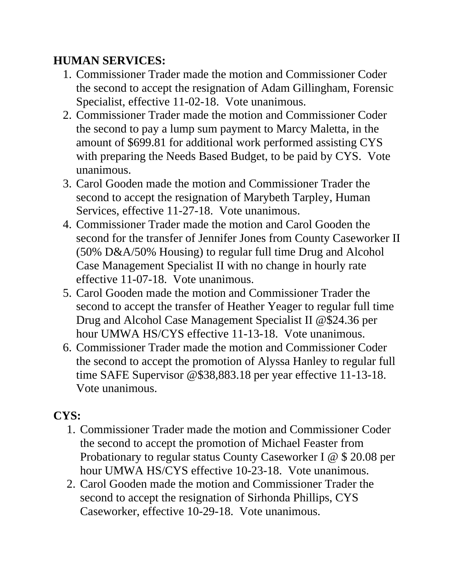## **HUMAN SERVICES:**

- 1. Commissioner Trader made the motion and Commissioner Coder the second to accept the resignation of Adam Gillingham, Forensic Specialist, effective 11-02-18. Vote unanimous.
- 2. Commissioner Trader made the motion and Commissioner Coder the second to pay a lump sum payment to Marcy Maletta, in the amount of \$699.81 for additional work performed assisting CYS with preparing the Needs Based Budget, to be paid by CYS. Vote unanimous.
- 3. Carol Gooden made the motion and Commissioner Trader the second to accept the resignation of Marybeth Tarpley, Human Services, effective 11-27-18. Vote unanimous.
- 4. Commissioner Trader made the motion and Carol Gooden the second for the transfer of Jennifer Jones from County Caseworker II (50% D&A/50% Housing) to regular full time Drug and Alcohol Case Management Specialist II with no change in hourly rate effective 11-07-18. Vote unanimous.
- 5. Carol Gooden made the motion and Commissioner Trader the second to accept the transfer of Heather Yeager to regular full time Drug and Alcohol Case Management Specialist II @\$24.36 per hour UMWA HS/CYS effective 11-13-18. Vote unanimous.
- 6. Commissioner Trader made the motion and Commissioner Coder the second to accept the promotion of Alyssa Hanley to regular full time SAFE Supervisor @\$38,883.18 per year effective 11-13-18. Vote unanimous.

# **CYS:**

- 1. Commissioner Trader made the motion and Commissioner Coder the second to accept the promotion of Michael Feaster from Probationary to regular status County Caseworker I @ \$ 20.08 per hour UMWA HS/CYS effective 10-23-18. Vote unanimous.
- 2. Carol Gooden made the motion and Commissioner Trader the second to accept the resignation of Sirhonda Phillips, CYS Caseworker, effective 10-29-18. Vote unanimous.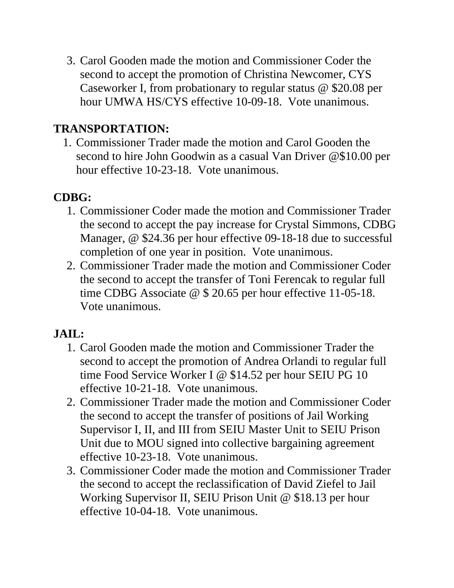3. Carol Gooden made the motion and Commissioner Coder the second to accept the promotion of Christina Newcomer, CYS Caseworker I, from probationary to regular status @ \$20.08 per hour UMWA HS/CYS effective 10-09-18. Vote unanimous.

## **TRANSPORTATION:**

1. Commissioner Trader made the motion and Carol Gooden the second to hire John Goodwin as a casual Van Driver @\$10.00 per hour effective 10-23-18. Vote unanimous.

## **CDBG:**

- 1. Commissioner Coder made the motion and Commissioner Trader the second to accept the pay increase for Crystal Simmons, CDBG Manager, @ \$24.36 per hour effective 09-18-18 due to successful completion of one year in position. Vote unanimous.
- 2. Commissioner Trader made the motion and Commissioner Coder the second to accept the transfer of Toni Ferencak to regular full time CDBG Associate @ \$ 20.65 per hour effective 11-05-18. Vote unanimous.

# **JAIL:**

- 1. Carol Gooden made the motion and Commissioner Trader the second to accept the promotion of Andrea Orlandi to regular full time Food Service Worker I @ \$14.52 per hour SEIU PG 10 effective 10-21-18. Vote unanimous.
- 2. Commissioner Trader made the motion and Commissioner Coder the second to accept the transfer of positions of Jail Working Supervisor I, II, and III from SEIU Master Unit to SEIU Prison Unit due to MOU signed into collective bargaining agreement effective 10-23-18. Vote unanimous.
- 3. Commissioner Coder made the motion and Commissioner Trader the second to accept the reclassification of David Ziefel to Jail Working Supervisor II, SEIU Prison Unit @ \$18.13 per hour effective 10-04-18. Vote unanimous.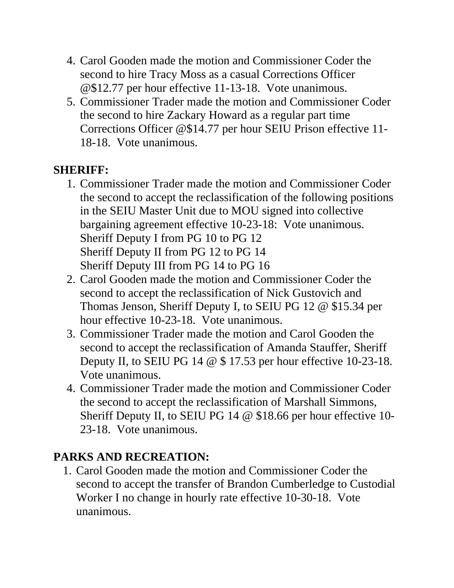- 4. Carol Gooden made the motion and Commissioner Coder the second to hire Tracy Moss as a casual Corrections Officer @\$12.77 per hour effective 11-13-18. Vote unanimous.
- 5. Commissioner Trader made the motion and Commissioner Coder the second to hire Zackary Howard as a regular part time Corrections Officer @\$14.77 per hour SEIU Prison effective 11- 18-18. Vote unanimous.

## **SHERIFF:**

- 1. Commissioner Trader made the motion and Commissioner Coder the second to accept the reclassification of the following positions in the SEIU Master Unit due to MOU signed into collective bargaining agreement effective 10-23-18: Vote unanimous. Sheriff Deputy I from PG 10 to PG 12 Sheriff Deputy II from PG 12 to PG 14 Sheriff Deputy III from PG 14 to PG 16
- 2. Carol Gooden made the motion and Commissioner Coder the second to accept the reclassification of Nick Gustovich and Thomas Jenson, Sheriff Deputy I, to SEIU PG 12 @ \$15.34 per hour effective 10-23-18. Vote unanimous.
- 3. Commissioner Trader made the motion and Carol Gooden the second to accept the reclassification of Amanda Stauffer, Sheriff Deputy II, to SEIU PG 14 @ \$ 17.53 per hour effective 10-23-18. Vote unanimous.
- 4. Commissioner Trader made the motion and Commissioner Coder the second to accept the reclassification of Marshall Simmons, Sheriff Deputy II, to SEIU PG 14 @ \$18.66 per hour effective 10- 23-18. Vote unanimous.

# **PARKS AND RECREATION:**

1. Carol Gooden made the motion and Commissioner Coder the second to accept the transfer of Brandon Cumberledge to Custodial Worker I no change in hourly rate effective 10-30-18. Vote unanimous.